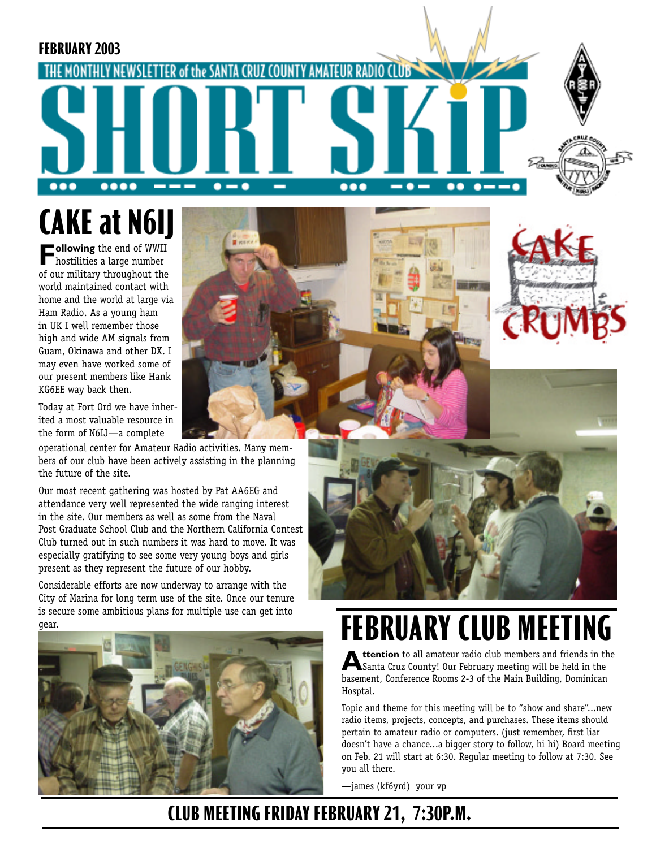

**CAKE at N6IJ** 

**Following** the end of WWII<br>hostilities a large number<br>of our military throughout the of our military throughout the world maintained contact with home and the world at large via Ham Radio. As a young ham in UK I well remember those high and wide AM signals from Guam, Okinawa and other DX. I may even have worked some of our present members like Hank KG6EE way back then.

Today at Fort Ord we have inherited a most valuable resource in the form of N6IJ—a complete

operational center for Amateur Radio activities. Many members of our club have been actively assisting in the planning the future of the site.

Our most recent gathering was hosted by Pat AA6EG and attendance very well represented the wide ranging interest in the site. Our members as well as some from the Naval Post Graduate School Club and the Northern California Contest Club turned out in such numbers it was hard to move. It was especially gratifying to see some very young boys and girls present as they represent the future of our hobby.

Considerable efforts are now underway to arrange with the City of Marina for long term use of the site. Once our tenure is secure some ambitious plans for multiple use can get into gear.









# **FEBRUARY CLUB MEETING**

**Attention** to all amateur radio club members and friends in the<br>Santa Cruz County! Our February meeting will be held in the<br>becoment Conference Boome 2.2 of the Main Building, Dominican basement, Conference Rooms 2-3 of the Main Building, Dominican Hosptal.

Topic and theme for this meeting will be to "show and share"...new radio items, projects, concepts, and purchases. These items should pertain to amateur radio or computers. (just remember, first liar doesn't have a chance...a bigger story to follow, hi hi) Board meeting on Feb. 21 will start at 6:30. Regular meeting to follow at 7:30. See you all there.

—james (kf6yrd) your vp

### **CLUB MEETING FRIDAY FEBRUARY 21, 7:30P.M.**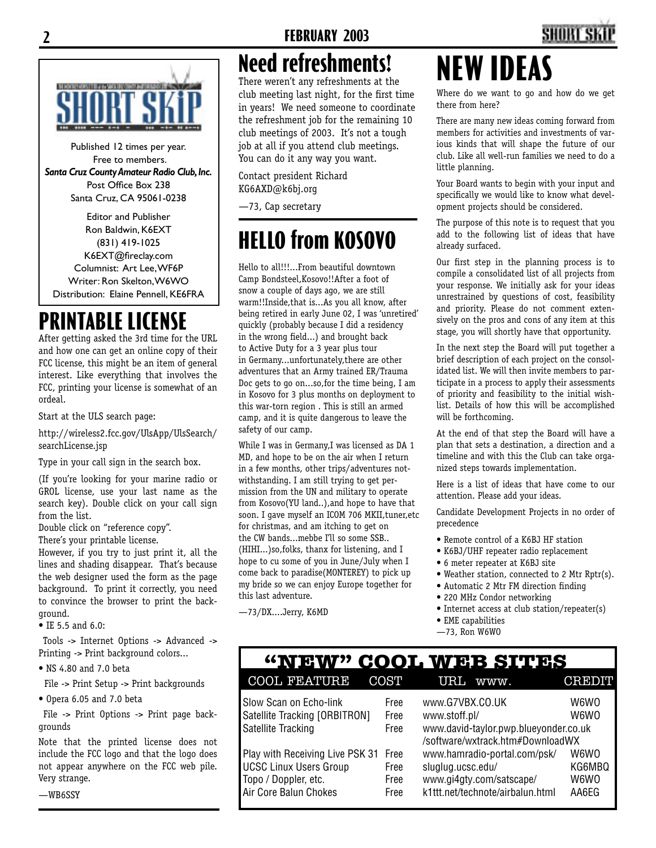# **Need refreshments!**

There weren't any refreshments at the club meeting last night, for the first time in years! We need someone to coordinate the refreshment job for the remaining 10 club meetings of 2003. It's not a tough job at all if you attend club meetings. You can do it any way you want.

Contact president Richard KG6AXD@k6bj.org

—73, Cap secretary

# **HELLO from KOSOVO**

Hello to all!!!...From beautiful downtown Camp Bondsteel,Kosovo!!After a foot of snow a couple of days ago, we are still warm!!Inside,that is...As you all know, after being retired in early June 02, I was 'unretired' quickly (probably because I did a residency in the wrong field...) and brought back to Active Duty for a 3 year plus tour in Germany...unfortunately,there are other adventures that an Army trained ER/Trauma Doc gets to go on...so,for the time being, I am in Kosovo for 3 plus months on deployment to this war-torn region . This is still an armed camp, and it is quite dangerous to leave the safety of our camp.

While I was in Germany,I was licensed as DA 1 MD, and hope to be on the air when I return in a few months, other trips/adventures notwithstanding. I am still trying to get permission from the UN and military to operate from Kosovo(YU land..),and hope to have that soon. I gave myself an ICOM 706 MKII,tuner,etc for christmas, and am itching to get on the CW bands...mebbe I'll so some SSB.. (HIHI...)so,folks, thanx for listening, and I hope to cu some of you in June/July when I come back to paradise(MONTEREY) to pick up my bride so we can enjoy Europe together for this last adventure.

—73/DX....Jerry, K6MD

# **NEW IDEAS**

Where do we want to go and how do we get there from here?

There are many new ideas coming forward from members for activities and investments of various kinds that will shape the future of our club. Like all well-run families we need to do a little planning.

Your Board wants to begin with your input and specifically we would like to know what development projects should be considered.

The purpose of this note is to request that you add to the following list of ideas that have already surfaced.

Our first step in the planning process is to compile a consolidated list of all projects from your response. We initially ask for your ideas unrestrained by questions of cost, feasibility and priority. Please do not comment extensively on the pros and cons of any item at this stage, you will shortly have that opportunity.

In the next step the Board will put together a brief description of each project on the consolidated list. We will then invite members to participate in a process to apply their assessments of priority and feasibility to the initial wishlist. Details of how this will be accomplished will be forthcoming.

At the end of that step the Board will have a plan that sets a destination, a direction and a timeline and with this the Club can take organized steps towards implementation.

Here is a list of ideas that have come to our attention. Please add your ideas.

Candidate Development Projects in no order of precedence

- Remote control of a K6BJ HF station
- K6BJ/UHF repeater radio replacement
- 6 meter repeater at K6BJ site
- Weather station, connected to 2 Mtr Rptr(s).
- Automatic 2 Mtr FM direction finding
- 220 MHz Condor networking • Internet access at club station/repeater(s)
- EME capabilities
- —73, Ron W6WO

### **"NEW" COOL WEB SITES** COOL FEATURE COST URL www. CREDIT

| Slow Scan on Echo-link          | Free | www.G7VBX.CO.UK                       | W6WO   |
|---------------------------------|------|---------------------------------------|--------|
| Satellite Tracking [ORBITRON]   | Free | www.stoff.pl/                         | W6W0   |
| Satellite Tracking              | Free | www.david-taylor.pwp.blueyonder.co.uk |        |
|                                 |      | /software/wxtrack.htm#DownloadWX      |        |
| Play with Receiving Live PSK 31 | Free | www.hamradio-portal.com/psk/          | W6W0   |
| <b>UCSC Linux Users Group</b>   | Free | sluglug.ucsc.edu/                     | KG6MBQ |
| Topo / Doppler, etc.            | Free | www.gi4gty.com/satscape/              | W6W0   |
| Air Core Balun Chokes           | Free | k1ttt.net/technote/airbalun.html      | AA6FG  |
|                                 |      |                                       |        |

# **ESPECIAL CONTRACTOR DE CONTRACTORES**

Published 12 times per year. Free to members. *Santa Cruz County Amateur Radio Club, Inc.* Post Office Box 238 Santa Cruz, CA 95061-0238

Editor and Publisher Ron Baldwin, K6EXT (831) 419-1025 K6EXT@fireclay.com Columnist: Art Lee, WF6P Writer: Ron Skelton, W6WO Distribution: Elaine Pennell, KE6FRA

### **PRINTABLE LICENSE**

After getting asked the 3rd time for the URL and how one can get an online copy of their FCC license, this might be an item of general interest. Like everything that involves the FCC, printing your license is somewhat of an ordeal.

Start at the ULS search page:

http://wireless2.fcc.gov/UlsApp/UlsSearch/ searchLicense.jsp

Type in your call sign in the search box.

(If you're looking for your marine radio or GROL license, use your last name as the search key). Double click on your call sign from the list.

Double click on "reference copy".

There's your printable license.

However, if you try to just print it, all the lines and shading disappear. That's because the web designer used the form as the page background. To print it correctly, you need to convince the browser to print the background.

• IE 5.5 and 6.0:

 Tools -> Internet Options -> Advanced -> Printing -> Print background colors...

• NS 4.80 and 7.0 beta

File -> Print Setup -> Print backgrounds

• Opera 6.05 and 7.0 beta

 File -> Print Options -> Print page backgrounds

Note that the printed license does not include the FCC logo and that the logo does not appear anywhere on the FCC web pile. Very strange.

—WB6SSY

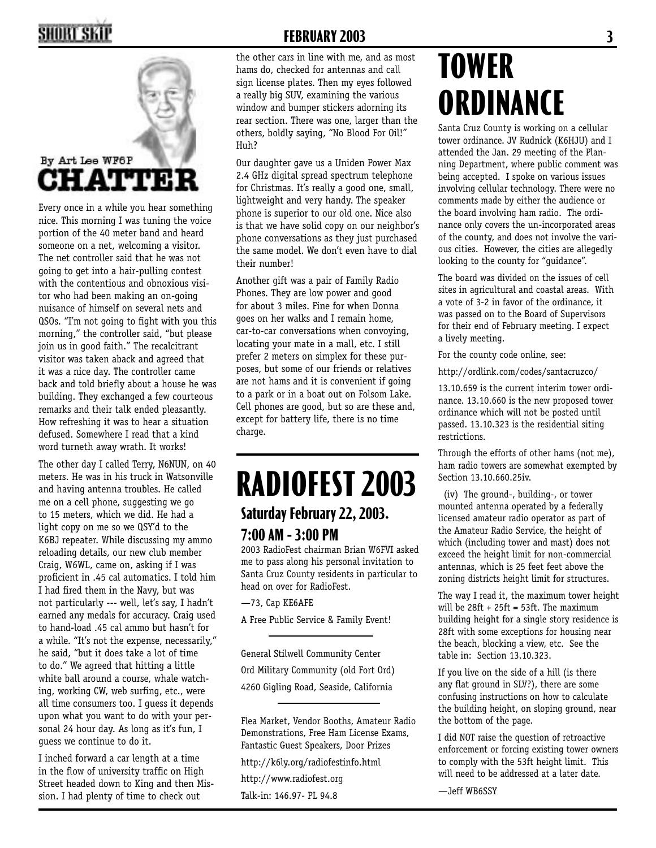### SHOKT SKII



Every once in a while you hear something nice. This morning I was tuning the voice portion of the 40 meter band and heard someone on a net, welcoming a visitor. The net controller said that he was not going to get into a hair-pulling contest with the contentious and obnoxious visitor who had been making an on-going nuisance of himself on several nets and QSOs. "I'm not going to fight with you this morning," the controller said, "but please join us in good faith." The recalcitrant visitor was taken aback and agreed that it was a nice day. The controller came back and told briefly about a house he was building. They exchanged a few courteous remarks and their talk ended pleasantly. How refreshing it was to hear a situation defused. Somewhere I read that a kind word turneth away wrath. It works!

The other day I called Terry, N6NUN, on 40 meters. He was in his truck in Watsonville and having antenna troubles. He called me on a cell phone, suggesting we go to 15 meters, which we did. He had a light copy on me so we QSY'd to the K6BJ repeater. While discussing my ammo reloading details, our new club member Craig, W6WL, came on, asking if I was proficient in .45 cal automatics. I told him I had fired them in the Navy, but was not particularly --- well, let's say, I hadn't earned any medals for accuracy. Craig used to hand-load .45 cal ammo but hasn't for a while. "It's not the expense, necessarily," he said, "but it does take a lot of time to do." We agreed that hitting a little white ball around a course, whale watching, working CW, web surfing, etc., were all time consumers too. I guess it depends upon what you want to do with your personal 24 hour day. As long as it's fun, I guess we continue to do it.

I inched forward a car length at a time in the flow of university traffic on High Street headed down to King and then Mission. I had plenty of time to check out

#### **FEBRUARY 2003 3**

the other cars in line with me, and as most hams do, checked for antennas and call sign license plates. Then my eyes followed a really big SUV, examining the various window and bumper stickers adorning its rear section. There was one, larger than the others, boldly saying, "No Blood For Oil!" Huh?

Our daughter gave us a Uniden Power Max 2.4 GHz digital spread spectrum telephone for Christmas. It's really a good one, small, lightweight and very handy. The speaker phone is superior to our old one. Nice also is that we have solid copy on our neighbor's phone conversations as they just purchased the same model. We don't even have to dial their number!

Another gift was a pair of Family Radio Phones. They are low power and good for about 3 miles. Fine for when Donna goes on her walks and I remain home, car-to-car conversations when convoying, locating your mate in a mall, etc. I still prefer 2 meters on simplex for these purposes, but some of our friends or relatives are not hams and it is convenient if going to a park or in a boat out on Folsom Lake. Cell phones are good, but so are these and, except for battery life, there is no time charge.

### **Saturday February 22, 2003. 7:00 AM - 3:00 PM RADIOFEST 2003**

2003 RadioFest chairman Brian W6FVI asked me to pass along his personal invitation to Santa Cruz County residents in particular to head on over for RadioFest.

—73, Cap KE6AFE

A Free Public Service & Family Event!

General Stilwell Community Center Ord Military Community (old Fort Ord) 4260 Gigling Road, Seaside, California

Flea Market, Vendor Booths, Amateur Radio Demonstrations, Free Ham License Exams, Fantastic Guest Speakers, Door Prizes

http://k6ly.org/radiofestinfo.html

http://www.radiofest.org

Talk-in: 146.97- PL 94.8

# **TOWER ORDINANCE**

Santa Cruz County is working on a cellular tower ordinance. JV Rudnick (K6HJU) and I attended the Jan. 29 meeting of the Planning Department, where public comment was being accepted. I spoke on various issues involving cellular technology. There were no comments made by either the audience or the board involving ham radio. The ordinance only covers the un-incorporated areas of the county, and does not involve the various cities. However, the cities are allegedly looking to the county for "guidance".

The board was divided on the issues of cell sites in agricultural and coastal areas. With a vote of 3-2 in favor of the ordinance, it was passed on to the Board of Supervisors for their end of February meeting. I expect a lively meeting.

For the county code online, see:

http://ordlink.com/codes/santacruzco/

13.10.659 is the current interim tower ordinance. 13.10.660 is the new proposed tower ordinance which will not be posted until passed. 13.10.323 is the residential siting restrictions.

Through the efforts of other hams (not me), ham radio towers are somewhat exempted by Section 13.10.660.25iv.

 (iv) The ground-, building-, or tower mounted antenna operated by a federally licensed amateur radio operator as part of the Amateur Radio Service, the height of which (including tower and mast) does not exceed the height limit for non-commercial antennas, which is 25 feet feet above the zoning districts height limit for structures.

The way I read it, the maximum tower height will be  $28ft + 25ft = 53ft$ . The maximum building height for a single story residence is 28ft with some exceptions for housing near the beach, blocking a view, etc. See the table in: Section 13.10.323.

If you live on the side of a hill (is there any flat ground in SLV?), there are some confusing instructions on how to calculate the building height, on sloping ground, near the bottom of the page.

I did NOT raise the question of retroactive enforcement or forcing existing tower owners to comply with the 53ft height limit. This will need to be addressed at a later date.

—Jeff WB6SSY